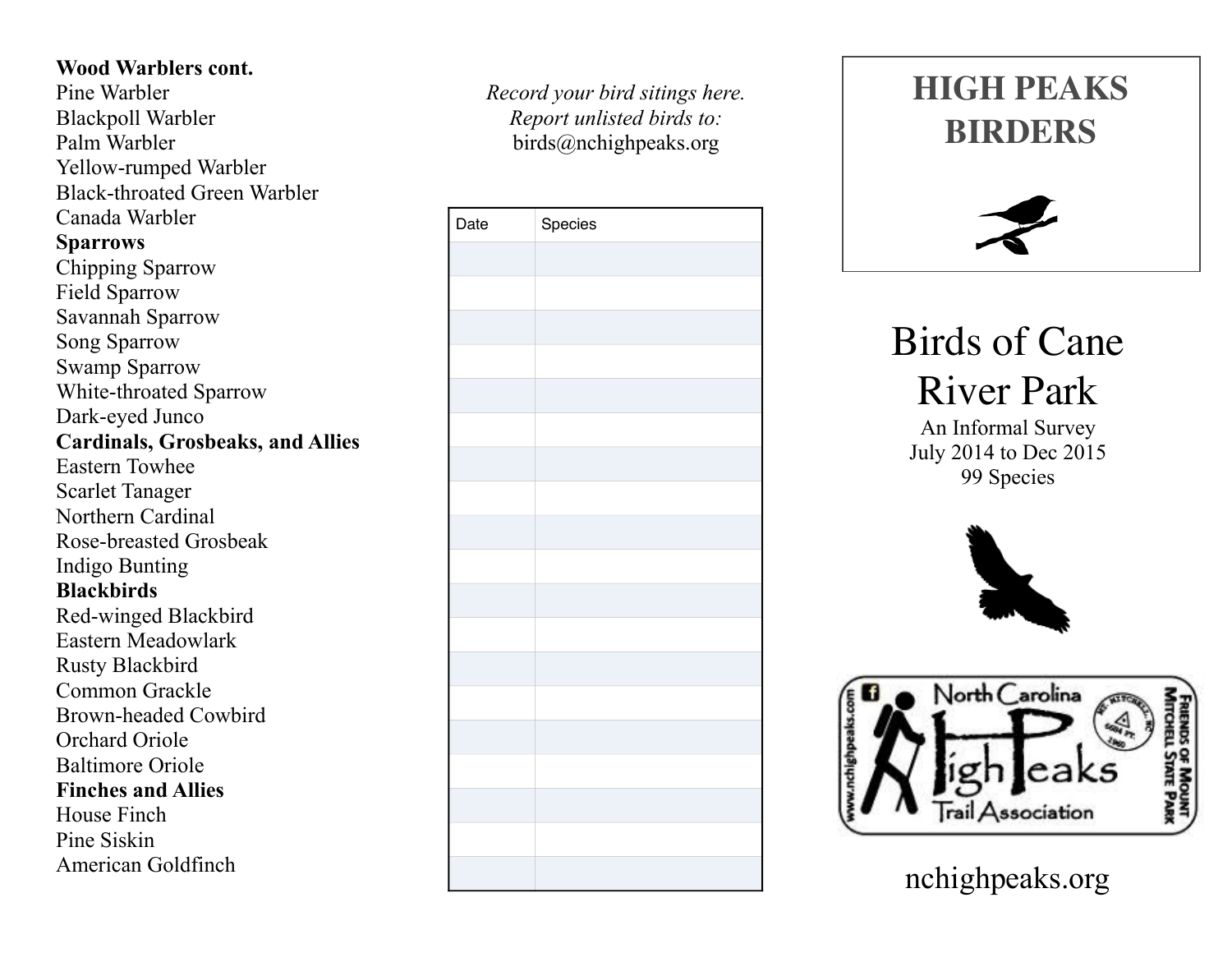## **Wood Warblers cont.**

Pine Warbler Blackpoll Warbler Palm Warbler Yellow-rumped Warbler Black-throated Green Warbler Canada Warbler **Sparrows**  Chipping Sparrow Field Sparrow Savannah Sparrow Song Sparrow Swamp Sparrow White-throated Sparrow Dark-eyed Junco **Cardinals, Grosbeaks, and Allies**  Eastern Towhee Scarlet Tanager Northern Cardinal Rose-breasted Grosbeak Indigo Bunting **Blackbirds**  Red-winged Blackbird Eastern Meadowlark Rusty Blackbird Common Grackle Brown-headed Cowbird Orchard Oriole Baltimore Oriole **Finches and Allies**  House Finch Pine Siskin American Goldfinch

*Record your bird sitings here. Report unlisted birds to:* birds@nchighpeaks.org

| Date | Species |
|------|---------|
|      |         |
|      |         |
|      |         |
|      |         |
|      |         |
|      |         |
|      |         |
|      |         |
|      |         |
|      |         |
|      |         |
|      |         |
|      |         |
|      |         |
|      |         |
|      |         |
|      |         |
|      |         |
|      |         |





Birds of Cane River Park

An Informal Survey July 2014 to Dec 2015 99 Species





nchighpeaks.org